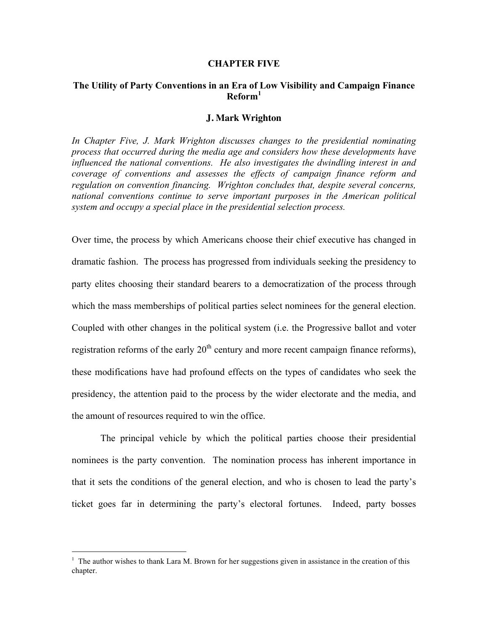#### **CHAPTER FIVE**

## **The Utility of Party Conventions in an Era of Low Visibility and Campaign Finance Reform<sup>1</sup>**

#### **J. Mark Wrighton**

*In Chapter Five, J. Mark Wrighton discusses changes to the presidential nominating process that occurred during the media age and considers how these developments have influenced the national conventions. He also investigates the dwindling interest in and coverage of conventions and assesses the effects of campaign finance reform and regulation on convention financing. Wrighton concludes that, despite several concerns, national conventions continue to serve important purposes in the American political system and occupy a special place in the presidential selection process.*

Over time, the process by which Americans choose their chief executive has changed in dramatic fashion. The process has progressed from individuals seeking the presidency to party elites choosing their standard bearers to a democratization of the process through which the mass memberships of political parties select nominees for the general election. Coupled with other changes in the political system (i.e. the Progressive ballot and voter registration reforms of the early  $20<sup>th</sup>$  century and more recent campaign finance reforms), these modifications have had profound effects on the types of candidates who seek the presidency, the attention paid to the process by the wider electorate and the media, and the amount of resources required to win the office.

The principal vehicle by which the political parties choose their presidential nominees is the party convention. The nomination process has inherent importance in that it sets the conditions of the general election, and who is chosen to lead the party's ticket goes far in determining the party's electoral fortunes. Indeed, party bosses

 $\frac{1}{1}$  $1$  The author wishes to thank Lara M. Brown for her suggestions given in assistance in the creation of this chapter.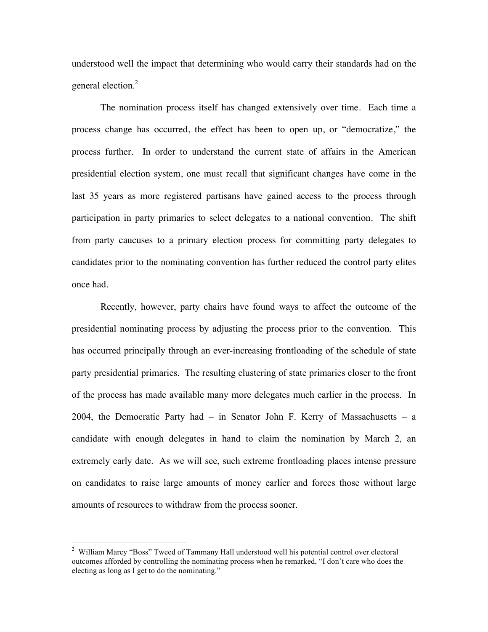understood well the impact that determining who would carry their standards had on the general election.<sup>2</sup>

The nomination process itself has changed extensively over time. Each time a process change has occurred, the effect has been to open up, or "democratize," the process further. In order to understand the current state of affairs in the American presidential election system, one must recall that significant changes have come in the last 35 years as more registered partisans have gained access to the process through participation in party primaries to select delegates to a national convention. The shift from party caucuses to a primary election process for committing party delegates to candidates prior to the nominating convention has further reduced the control party elites once had.

Recently, however, party chairs have found ways to affect the outcome of the presidential nominating process by adjusting the process prior to the convention. This has occurred principally through an ever-increasing frontloading of the schedule of state party presidential primaries. The resulting clustering of state primaries closer to the front of the process has made available many more delegates much earlier in the process. In 2004, the Democratic Party had – in Senator John F. Kerry of Massachusetts – a candidate with enough delegates in hand to claim the nomination by March 2, an extremely early date. As we will see, such extreme frontloading places intense pressure on candidates to raise large amounts of money earlier and forces those without large amounts of resources to withdraw from the process sooner.

 $\frac{1}{2}$ <sup>2</sup> William Marcy "Boss" Tweed of Tammany Hall understood well his potential control over electoral outcomes afforded by controlling the nominating process when he remarked, "I don't care who does the electing as long as I get to do the nominating."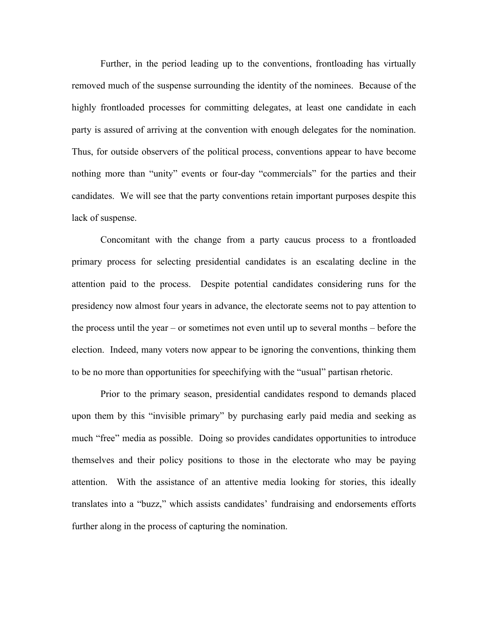Further, in the period leading up to the conventions, frontloading has virtually removed much of the suspense surrounding the identity of the nominees. Because of the highly frontloaded processes for committing delegates, at least one candidate in each party is assured of arriving at the convention with enough delegates for the nomination. Thus, for outside observers of the political process, conventions appear to have become nothing more than "unity" events or four-day "commercials" for the parties and their candidates. We will see that the party conventions retain important purposes despite this lack of suspense.

Concomitant with the change from a party caucus process to a frontloaded primary process for selecting presidential candidates is an escalating decline in the attention paid to the process. Despite potential candidates considering runs for the presidency now almost four years in advance, the electorate seems not to pay attention to the process until the year – or sometimes not even until up to several months – before the election. Indeed, many voters now appear to be ignoring the conventions, thinking them to be no more than opportunities for speechifying with the "usual" partisan rhetoric.

Prior to the primary season, presidential candidates respond to demands placed upon them by this "invisible primary" by purchasing early paid media and seeking as much "free" media as possible. Doing so provides candidates opportunities to introduce themselves and their policy positions to those in the electorate who may be paying attention. With the assistance of an attentive media looking for stories, this ideally translates into a "buzz," which assists candidates' fundraising and endorsements efforts further along in the process of capturing the nomination.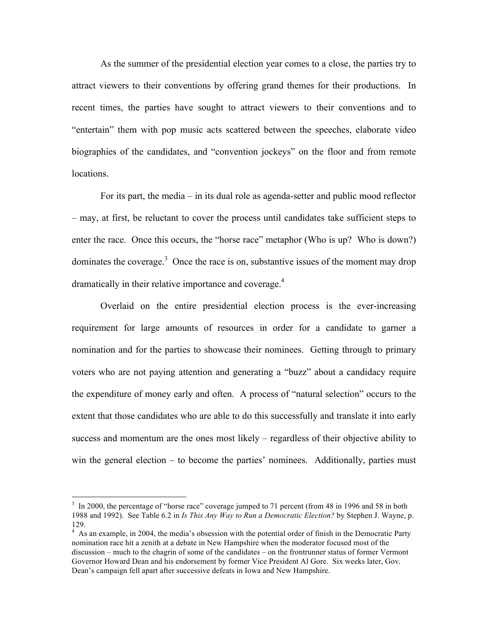As the summer of the presidential election year comes to a close, the parties try to attract viewers to their conventions by offering grand themes for their productions. In recent times, the parties have sought to attract viewers to their conventions and to "entertain" them with pop music acts scattered between the speeches, elaborate video biographies of the candidates, and "convention jockeys" on the floor and from remote locations.

For its part, the media – in its dual role as agenda-setter and public mood reflector – may, at first, be reluctant to cover the process until candidates take sufficient steps to enter the race. Once this occurs, the "horse race" metaphor (Who is up? Who is down?) dominates the coverage. $3$  Once the race is on, substantive issues of the moment may drop dramatically in their relative importance and coverage.<sup>4</sup>

Overlaid on the entire presidential election process is the ever-increasing requirement for large amounts of resources in order for a candidate to garner a nomination and for the parties to showcase their nominees. Getting through to primary voters who are not paying attention and generating a "buzz" about a candidacy require the expenditure of money early and often. A process of "natural selection" occurs to the extent that those candidates who are able to do this successfully and translate it into early success and momentum are the ones most likely – regardless of their objective ability to win the general election – to become the parties' nominees. Additionally, parties must

3 <sup>3</sup> In 2000, the percentage of "horse race" coverage jumped to 71 percent (from 48 in 1996 and 58 in both 1988 and 1992). See Table 6.2 in *Is This Any Way to Run a Democratic Election?* by Stephen J. Wayne, p. 129.

<sup>&</sup>lt;sup>4</sup> As an example, in 2004, the media's obsession with the potential order of finish in the Democratic Party nomination race hit a zenith at a debate in New Hampshire when the moderator focused most of the discussion – much to the chagrin of some of the candidates – on the frontrunner status of former Vermont Governor Howard Dean and his endorsement by former Vice President Al Gore. Six weeks later, Gov. Dean's campaign fell apart after successive defeats in Iowa and New Hampshire.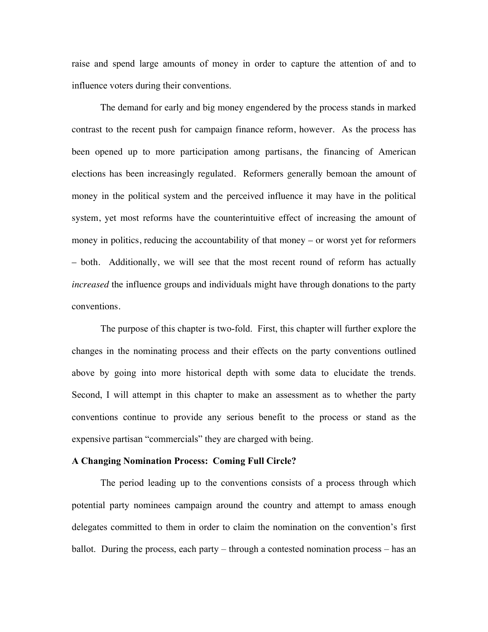raise and spend large amounts of money in order to capture the attention of and to influence voters during their conventions.

The demand for early and big money engendered by the process stands in marked contrast to the recent push for campaign finance reform, however. As the process has been opened up to more participation among partisans, the financing of American elections has been increasingly regulated. Reformers generally bemoan the amount of money in the political system and the perceived influence it may have in the political system, yet most reforms have the counterintuitive effect of increasing the amount of money in politics, reducing the accountability of that money – or worst yet for reformers – both. Additionally, we will see that the most recent round of reform has actually *increased* the influence groups and individuals might have through donations to the party conventions.

The purpose of this chapter is two-fold. First, this chapter will further explore the changes in the nominating process and their effects on the party conventions outlined above by going into more historical depth with some data to elucidate the trends. Second, I will attempt in this chapter to make an assessment as to whether the party conventions continue to provide any serious benefit to the process or stand as the expensive partisan "commercials" they are charged with being.

#### **A Changing Nomination Process: Coming Full Circle?**

The period leading up to the conventions consists of a process through which potential party nominees campaign around the country and attempt to amass enough delegates committed to them in order to claim the nomination on the convention's first ballot. During the process, each party – through a contested nomination process – has an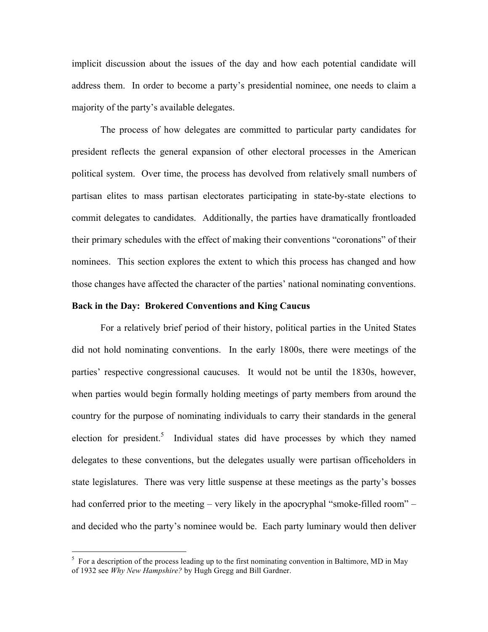implicit discussion about the issues of the day and how each potential candidate will address them. In order to become a party's presidential nominee, one needs to claim a majority of the party's available delegates.

The process of how delegates are committed to particular party candidates for president reflects the general expansion of other electoral processes in the American political system. Over time, the process has devolved from relatively small numbers of partisan elites to mass partisan electorates participating in state-by-state elections to commit delegates to candidates. Additionally, the parties have dramatically frontloaded their primary schedules with the effect of making their conventions "coronations" of their nominees. This section explores the extent to which this process has changed and how those changes have affected the character of the parties' national nominating conventions.

#### **Back in the Day: Brokered Conventions and King Caucus**

For a relatively brief period of their history, political parties in the United States did not hold nominating conventions. In the early 1800s, there were meetings of the parties' respective congressional caucuses. It would not be until the 1830s, however, when parties would begin formally holding meetings of party members from around the country for the purpose of nominating individuals to carry their standards in the general election for president.<sup>5</sup> Individual states did have processes by which they named delegates to these conventions, but the delegates usually were partisan officeholders in state legislatures. There was very little suspense at these meetings as the party's bosses had conferred prior to the meeting – very likely in the apocryphal "smoke-filled room" – and decided who the party's nominee would be. Each party luminary would then deliver

5  $5$  For a description of the process leading up to the first nominating convention in Baltimore, MD in May of 1932 see *Why New Hampshire?* by Hugh Gregg and Bill Gardner.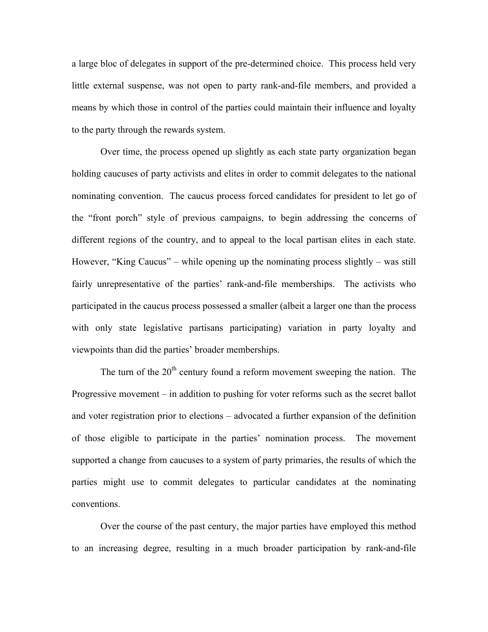a large bloc of delegates in support of the pre-determined choice. This process held very little external suspense, was not open to party rank-and-file members, and provided a means by which those in control of the parties could maintain their influence and loyalty to the party through the rewards system.

Over time, the process opened up slightly as each state party organization began holding caucuses of party activists and elites in order to commit delegates to the national nominating convention. The caucus process forced candidates for president to let go of the "front porch" style of previous campaigns, to begin addressing the concerns of different regions of the country, and to appeal to the local partisan elites in each state. However, "King Caucus" – while opening up the nominating process slightly – was still fairly unrepresentative of the parties' rank-and-file memberships. The activists who participated in the caucus process possessed a smaller (albeit a larger one than the process with only state legislative partisans participating) variation in party loyalty and viewpoints than did the parties' broader memberships.

The turn of the  $20<sup>th</sup>$  century found a reform movement sweeping the nation. The Progressive movement – in addition to pushing for voter reforms such as the secret ballot and voter registration prior to elections – advocated a further expansion of the definition of those eligible to participate in the parties' nomination process. The movement supported a change from caucuses to a system of party primaries, the results of which the parties might use to commit delegates to particular candidates at the nominating conventions.

Over the course of the past century, the major parties have employed this method to an increasing degree, resulting in a much broader participation by rank-and-file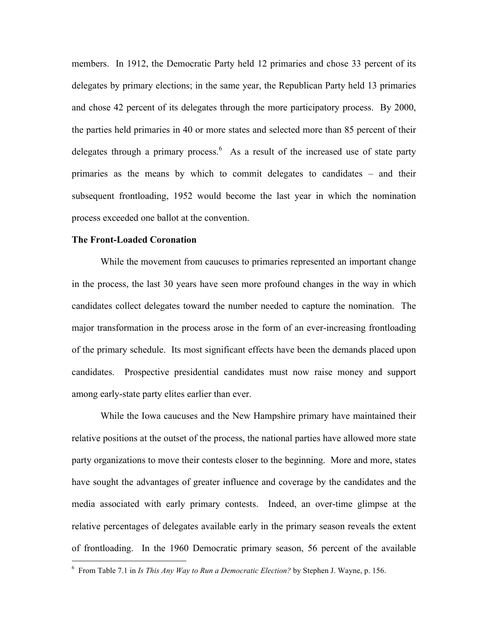members. In 1912, the Democratic Party held 12 primaries and chose 33 percent of its delegates by primary elections; in the same year, the Republican Party held 13 primaries and chose 42 percent of its delegates through the more participatory process. By 2000, the parties held primaries in 40 or more states and selected more than 85 percent of their delegates through a primary process.  $6$  As a result of the increased use of state party primaries as the means by which to commit delegates to candidates – and their subsequent frontloading, 1952 would become the last year in which the nomination process exceeded one ballot at the convention.

#### **The Front-Loaded Coronation**

While the movement from caucuses to primaries represented an important change in the process, the last 30 years have seen more profound changes in the way in which candidates collect delegates toward the number needed to capture the nomination. The major transformation in the process arose in the form of an ever-increasing frontloading of the primary schedule. Its most significant effects have been the demands placed upon candidates. Prospective presidential candidates must now raise money and support among early-state party elites earlier than ever.

While the Iowa caucuses and the New Hampshire primary have maintained their relative positions at the outset of the process, the national parties have allowed more state party organizations to move their contests closer to the beginning. More and more, states have sought the advantages of greater influence and coverage by the candidates and the media associated with early primary contests. Indeed, an over-time glimpse at the relative percentages of delegates available early in the primary season reveals the extent of frontloading. In the 1960 Democratic primary season, 56 percent of the available

6 From Table 7.1 in *Is This Any Way to Run a Democratic Election?* by Stephen J. Wayne, p. 156.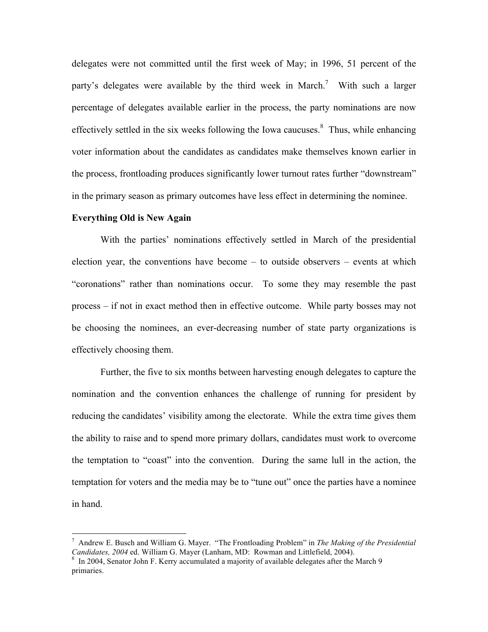delegates were not committed until the first week of May; in 1996, 51 percent of the party's delegates were available by the third week in March.<sup>7</sup> With such a larger percentage of delegates available earlier in the process, the party nominations are now effectively settled in the six weeks following the Iowa caucuses. $\delta$  Thus, while enhancing voter information about the candidates as candidates make themselves known earlier in the process, frontloading produces significantly lower turnout rates further "downstream" in the primary season as primary outcomes have less effect in determining the nominee.

#### **Everything Old is New Again**

With the parties' nominations effectively settled in March of the presidential election year, the conventions have become – to outside observers – events at which "coronations" rather than nominations occur. To some they may resemble the past process – if not in exact method then in effective outcome. While party bosses may not be choosing the nominees, an ever-decreasing number of state party organizations is effectively choosing them.

Further, the five to six months between harvesting enough delegates to capture the nomination and the convention enhances the challenge of running for president by reducing the candidates' visibility among the electorate. While the extra time gives them the ability to raise and to spend more primary dollars, candidates must work to overcome the temptation to "coast" into the convention. During the same lull in the action, the temptation for voters and the media may be to "tune out" once the parties have a nominee in hand.

<sup>7</sup> Andrew E. Busch and William G. Mayer. "The Frontloading Problem" in *The Making of the Presidential Candidates, 2004* ed. William G. Mayer (Lanham, MD: Rowman and Littlefield, 2004).

 $\delta$  In 2004, Senator John F. Kerry accumulated a majority of available delegates after the March 9 primaries.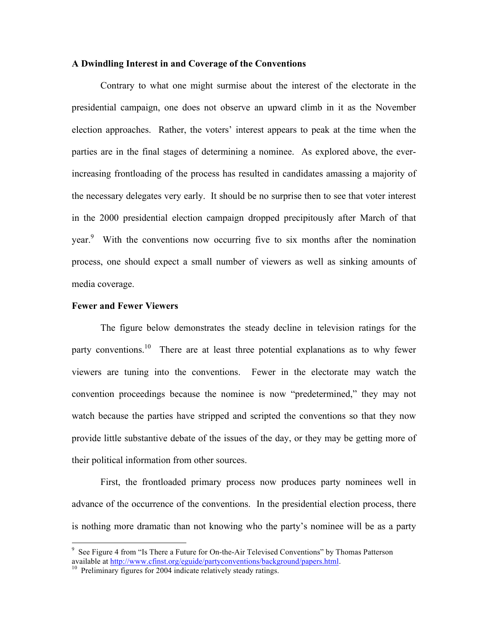#### **A Dwindling Interest in and Coverage of the Conventions**

Contrary to what one might surmise about the interest of the electorate in the presidential campaign, one does not observe an upward climb in it as the November election approaches. Rather, the voters' interest appears to peak at the time when the parties are in the final stages of determining a nominee. As explored above, the everincreasing frontloading of the process has resulted in candidates amassing a majority of the necessary delegates very early. It should be no surprise then to see that voter interest in the 2000 presidential election campaign dropped precipitously after March of that year.<sup>9</sup> With the conventions now occurring five to six months after the nomination process, one should expect a small number of viewers as well as sinking amounts of media coverage.

## **Fewer and Fewer Viewers**

The figure below demonstrates the steady decline in television ratings for the party conventions.<sup>10</sup> There are at least three potential explanations as to why fewer viewers are tuning into the conventions. Fewer in the electorate may watch the convention proceedings because the nominee is now "predetermined," they may not watch because the parties have stripped and scripted the conventions so that they now provide little substantive debate of the issues of the day, or they may be getting more of their political information from other sources.

First, the frontloaded primary process now produces party nominees well in advance of the occurrence of the conventions. In the presidential election process, there is nothing more dramatic than not knowing who the party's nominee will be as a party

9  $9$  See Figure 4 from "Is There a Future for On-the-Air Televised Conventions" by Thomas Patterson available at http://www.cfinst.org/eguide/partyconventions/background/papers.html.<br><sup>10</sup> Preliminary figures for 2004 indicate relatively steady ratings.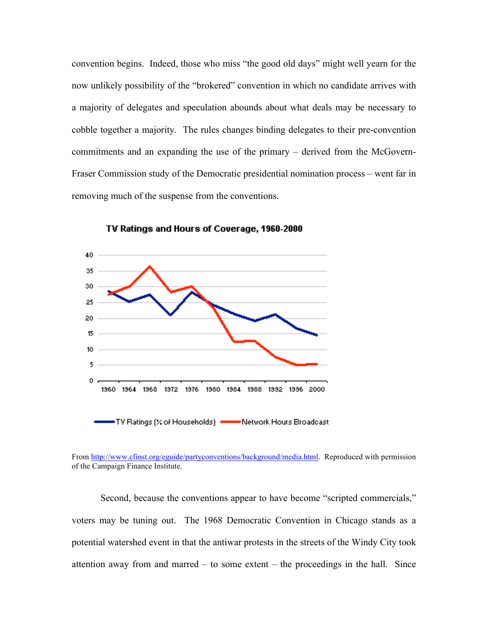convention begins. Indeed, those who miss "the good old days" might well yearn for the now unlikely possibility of the "brokered" convention in which no candidate arrives with a majority of delegates and speculation abounds about what deals may be necessary to cobble together a majority. The rules changes binding delegates to their pre-convention commitments and an expanding the use of the primary – derived from the McGovern-Fraser Commission study of the Democratic presidential nomination process – went far in removing much of the suspense from the conventions.



TV Ratings and Hours of Coverage, 1960-2000

From http://www.cfinst.org/eguide/partyconventions/background/media.html. Reproduced with permission of the Campaign Finance Institute.

Second, because the conventions appear to have become "scripted commercials," voters may be tuning out. The 1968 Democratic Convention in Chicago stands as a potential watershed event in that the antiwar protests in the streets of the Windy City took attention away from and marred – to some extent – the proceedings in the hall. Since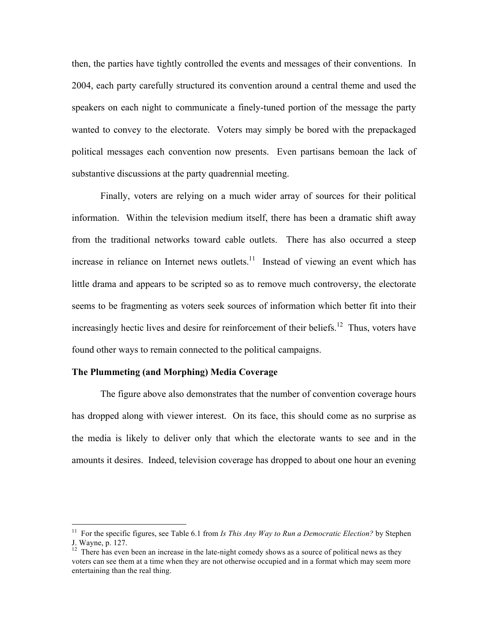then, the parties have tightly controlled the events and messages of their conventions. In 2004, each party carefully structured its convention around a central theme and used the speakers on each night to communicate a finely-tuned portion of the message the party wanted to convey to the electorate. Voters may simply be bored with the prepackaged political messages each convention now presents. Even partisans bemoan the lack of substantive discussions at the party quadrennial meeting.

Finally, voters are relying on a much wider array of sources for their political information. Within the television medium itself, there has been a dramatic shift away from the traditional networks toward cable outlets. There has also occurred a steep increase in reliance on Internet news outlets. $11$  Instead of viewing an event which has little drama and appears to be scripted so as to remove much controversy, the electorate seems to be fragmenting as voters seek sources of information which better fit into their increasingly hectic lives and desire for reinforcement of their beliefs.<sup>12</sup> Thus, voters have found other ways to remain connected to the political campaigns.

#### **The Plummeting (and Morphing) Media Coverage**

The figure above also demonstrates that the number of convention coverage hours has dropped along with viewer interest. On its face, this should come as no surprise as the media is likely to deliver only that which the electorate wants to see and in the amounts it desires. Indeed, television coverage has dropped to about one hour an evening

<sup>&</sup>lt;sup>11</sup> For the specific figures, see Table 6.1 from *Is This Any Way to Run a Democratic Election*? by Stephen J. Wayne, p. 127.

 $12$  There has even been an increase in the late-night comedy shows as a source of political news as they voters can see them at a time when they are not otherwise occupied and in a format which may seem more entertaining than the real thing.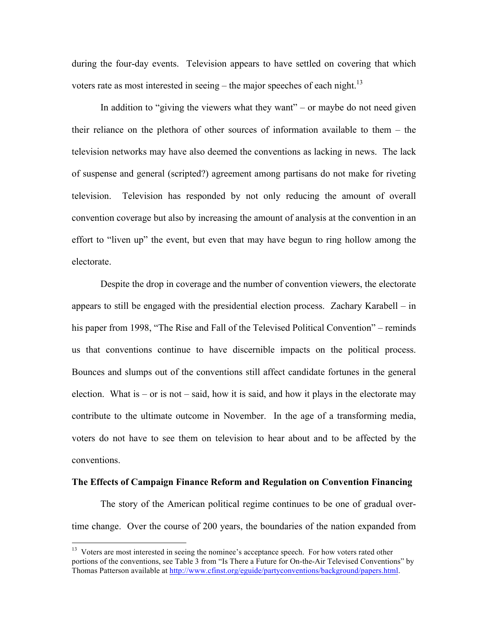during the four-day events. Television appears to have settled on covering that which voters rate as most interested in seeing – the major speeches of each night.<sup>13</sup>

In addition to "giving the viewers what they want" – or maybe do not need given their reliance on the plethora of other sources of information available to them – the television networks may have also deemed the conventions as lacking in news. The lack of suspense and general (scripted?) agreement among partisans do not make for riveting television. Television has responded by not only reducing the amount of overall convention coverage but also by increasing the amount of analysis at the convention in an effort to "liven up" the event, but even that may have begun to ring hollow among the electorate.

Despite the drop in coverage and the number of convention viewers, the electorate appears to still be engaged with the presidential election process. Zachary Karabell – in his paper from 1998, "The Rise and Fall of the Televised Political Convention" – reminds us that conventions continue to have discernible impacts on the political process. Bounces and slumps out of the conventions still affect candidate fortunes in the general election. What is – or is not – said, how it is said, and how it plays in the electorate may contribute to the ultimate outcome in November. In the age of a transforming media, voters do not have to see them on television to hear about and to be affected by the conventions.

## **The Effects of Campaign Finance Reform and Regulation on Convention Financing**

The story of the American political regime continues to be one of gradual overtime change. Over the course of 200 years, the boundaries of the nation expanded from

<sup>&</sup>lt;sup>13</sup> Voters are most interested in seeing the nominee's acceptance speech. For how voters rated other portions of the conventions, see Table 3 from "Is There a Future for On-the-Air Televised Conventions" by Thomas Patterson available at http://www.cfinst.org/eguide/partyconventions/background/papers.html.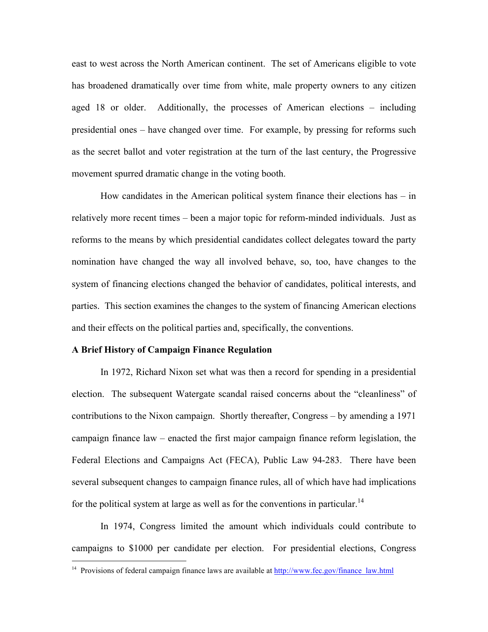east to west across the North American continent. The set of Americans eligible to vote has broadened dramatically over time from white, male property owners to any citizen aged 18 or older. Additionally, the processes of American elections – including presidential ones – have changed over time. For example, by pressing for reforms such as the secret ballot and voter registration at the turn of the last century, the Progressive movement spurred dramatic change in the voting booth.

How candidates in the American political system finance their elections has – in relatively more recent times – been a major topic for reform-minded individuals. Just as reforms to the means by which presidential candidates collect delegates toward the party nomination have changed the way all involved behave, so, too, have changes to the system of financing elections changed the behavior of candidates, political interests, and parties. This section examines the changes to the system of financing American elections and their effects on the political parties and, specifically, the conventions.

#### **A Brief History of Campaign Finance Regulation**

In 1972, Richard Nixon set what was then a record for spending in a presidential election. The subsequent Watergate scandal raised concerns about the "cleanliness" of contributions to the Nixon campaign. Shortly thereafter, Congress – by amending a 1971 campaign finance law – enacted the first major campaign finance reform legislation, the Federal Elections and Campaigns Act (FECA), Public Law 94-283. There have been several subsequent changes to campaign finance rules, all of which have had implications for the political system at large as well as for the conventions in particular.<sup>14</sup>

In 1974, Congress limited the amount which individuals could contribute to campaigns to \$1000 per candidate per election. For presidential elections, Congress

<sup>&</sup>lt;sup>14</sup> Provisions of federal campaign finance laws are available at http://www.fec.gov/finance\_law.html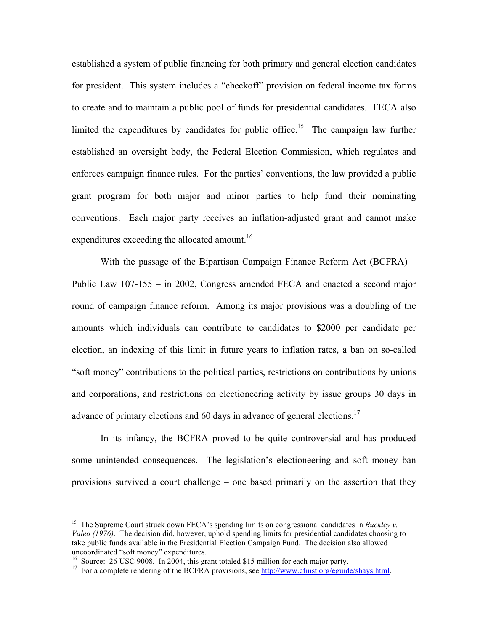established a system of public financing for both primary and general election candidates for president. This system includes a "checkoff" provision on federal income tax forms to create and to maintain a public pool of funds for presidential candidates. FECA also limited the expenditures by candidates for public office.<sup>15</sup> The campaign law further established an oversight body, the Federal Election Commission, which regulates and enforces campaign finance rules. For the parties' conventions, the law provided a public grant program for both major and minor parties to help fund their nominating conventions. Each major party receives an inflation-adjusted grant and cannot make expenditures exceeding the allocated amount.<sup>16</sup>

With the passage of the Bipartisan Campaign Finance Reform Act (BCFRA) – Public Law 107-155 – in 2002, Congress amended FECA and enacted a second major round of campaign finance reform. Among its major provisions was a doubling of the amounts which individuals can contribute to candidates to \$2000 per candidate per election, an indexing of this limit in future years to inflation rates, a ban on so-called "soft money" contributions to the political parties, restrictions on contributions by unions and corporations, and restrictions on electioneering activity by issue groups 30 days in advance of primary elections and 60 days in advance of general elections.<sup>17</sup>

In its infancy, the BCFRA proved to be quite controversial and has produced some unintended consequences. The legislation's electioneering and soft money ban provisions survived a court challenge – one based primarily on the assertion that they

<sup>&</sup>lt;sup>15</sup> The Supreme Court struck down FECA's spending limits on congressional candidates in *Buckley v. Valeo (1976)*. The decision did, however, uphold spending limits for presidential candidates choosing to take public funds available in the Presidential Election Campaign Fund. The decision also allowed

<sup>&</sup>lt;sup>16</sup> Source: 26 USC 9008. In 2004, this grant totaled \$15 million for each major party.<br><sup>17</sup> For a complete rendering of the BCFRA provisions, see <u>http://www.cfinst.org/eguide/shays.html</u>.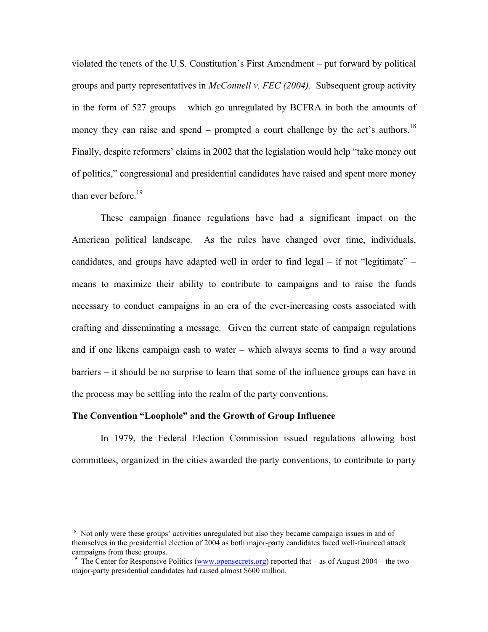violated the tenets of the U.S. Constitution's First Amendment – put forward by political groups and party representatives in *McConnell v. FEC (2004)*. Subsequent group activity in the form of 527 groups – which go unregulated by BCFRA in both the amounts of money they can raise and spend – prompted a court challenge by the act's authors.<sup>18</sup> Finally, despite reformers' claims in 2002 that the legislation would help "take money out of politics," congressional and presidential candidates have raised and spent more money than ever before. $19$ 

These campaign finance regulations have had a significant impact on the American political landscape. As the rules have changed over time, individuals, candidates, and groups have adapted well in order to find legal – if not "legitimate" – means to maximize their ability to contribute to campaigns and to raise the funds necessary to conduct campaigns in an era of the ever-increasing costs associated with crafting and disseminating a message. Given the current state of campaign regulations and if one likens campaign cash to water – which always seems to find a way around barriers – it should be no surprise to learn that some of the influence groups can have in the process may be settling into the realm of the party conventions.

#### **The Convention "Loophole" and the Growth of Group Influence**

In 1979, the Federal Election Commission issued regulations allowing host committees, organized in the cities awarded the party conventions, to contribute to party

<sup>&</sup>lt;sup>18</sup> Not only were these groups' activities unregulated but also they became campaign issues in and of themselves in the presidential election of 2004 as both major-party candidates faced well-financed attack campaigns from these groups.

<sup>&</sup>lt;sup>19</sup> The Center for Responsive Politics (www.opensecrets.org) reported that – as of August 2004 – the two major-party presidential candidates had raised almost \$600 million.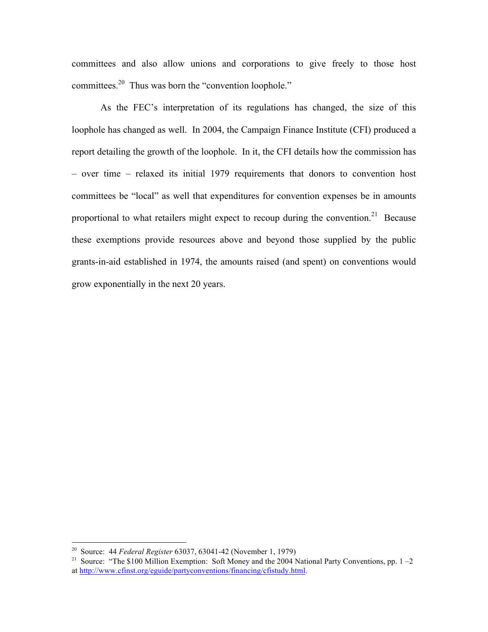committees and also allow unions and corporations to give freely to those host committees.20 Thus was born the "convention loophole."

As the FEC's interpretation of its regulations has changed, the size of this loophole has changed as well. In 2004, the Campaign Finance Institute (CFI) produced a report detailing the growth of the loophole. In it, the CFI details how the commission has – over time – relaxed its initial 1979 requirements that donors to convention host committees be "local" as well that expenditures for convention expenses be in amounts proportional to what retailers might expect to recoup during the convention.<sup>21</sup> Because these exemptions provide resources above and beyond those supplied by the public grants-in-aid established in 1974, the amounts raised (and spent) on conventions would grow exponentially in the next 20 years.

 <sup>20</sup> Source: 44 *Federal Register* 63037, 63041-42 (November 1, 1979)

<sup>&</sup>lt;sup>21</sup> Source: "The \$100 Million Exemption: Soft Money and the 2004 National Party Conventions, pp.  $1-2$ at http://www.cfinst.org/eguide/partyconventions/financing/cfistudy.html.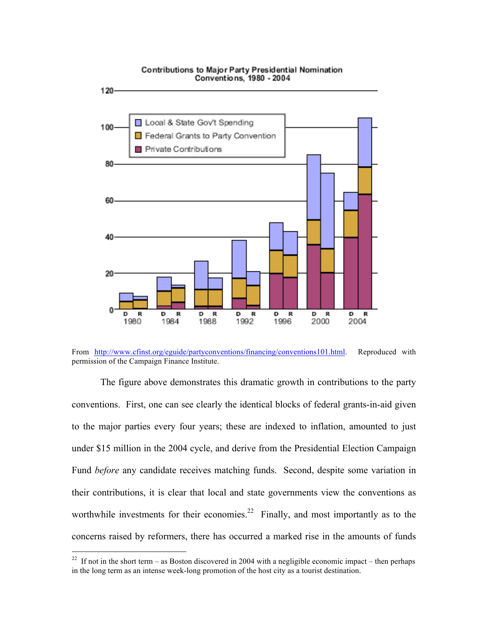

From http://www.cfinst.org/eguide/partyconventions/financing/conventions101.html. Reproduced with permission of the Campaign Finance Institute.

The figure above demonstrates this dramatic growth in contributions to the party conventions. First, one can see clearly the identical blocks of federal grants-in-aid given to the major parties every four years; these are indexed to inflation, amounted to just under \$15 million in the 2004 cycle, and derive from the Presidential Election Campaign Fund *before* any candidate receives matching funds. Second, despite some variation in their contributions, it is clear that local and state governments view the conventions as worthwhile investments for their economies.<sup>22</sup> Finally, and most importantly as to the concerns raised by reformers, there has occurred a marked rise in the amounts of funds

# Contributions to Major Party Presidential Nomination

<sup>&</sup>lt;sup>22</sup> If not in the short term – as Boston discovered in 2004 with a negligible economic impact – then perhaps in the long term as an intense week-long promotion of the host city as a tourist destination.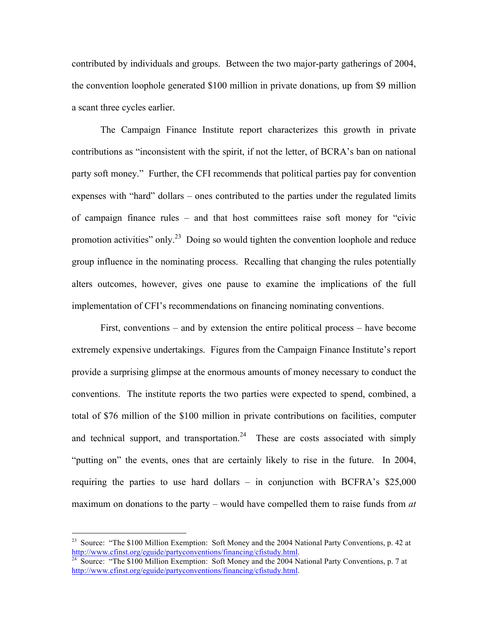contributed by individuals and groups. Between the two major-party gatherings of 2004, the convention loophole generated \$100 million in private donations, up from \$9 million a scant three cycles earlier.

The Campaign Finance Institute report characterizes this growth in private contributions as "inconsistent with the spirit, if not the letter, of BCRA's ban on national party soft money." Further, the CFI recommends that political parties pay for convention expenses with "hard" dollars – ones contributed to the parties under the regulated limits of campaign finance rules – and that host committees raise soft money for "civic promotion activities" only.<sup>23</sup> Doing so would tighten the convention loophole and reduce group influence in the nominating process. Recalling that changing the rules potentially alters outcomes, however, gives one pause to examine the implications of the full implementation of CFI's recommendations on financing nominating conventions.

First, conventions – and by extension the entire political process – have become extremely expensive undertakings. Figures from the Campaign Finance Institute's report provide a surprising glimpse at the enormous amounts of money necessary to conduct the conventions. The institute reports the two parties were expected to spend, combined, a total of \$76 million of the \$100 million in private contributions on facilities, computer and technical support, and transportation.<sup>24</sup> These are costs associated with simply "putting on" the events, ones that are certainly likely to rise in the future. In 2004, requiring the parties to use hard dollars – in conjunction with BCFRA's \$25,000 maximum on donations to the party – would have compelled them to raise funds from *at* 

<sup>&</sup>lt;sup>23</sup> Source: "The \$100 Million Exemption: Soft Money and the 2004 National Party Conventions, p. 42 at http://www.cfinst.org/eguide/partyconventions/financing/cfistudy.html.

<sup>&</sup>lt;sup>24</sup> Source: "The \$100 Million Exemption: Soft Money and the 2004 National Party Conventions, p. 7 at http://www.cfinst.org/eguide/partyconventions/financing/cfistudy.html.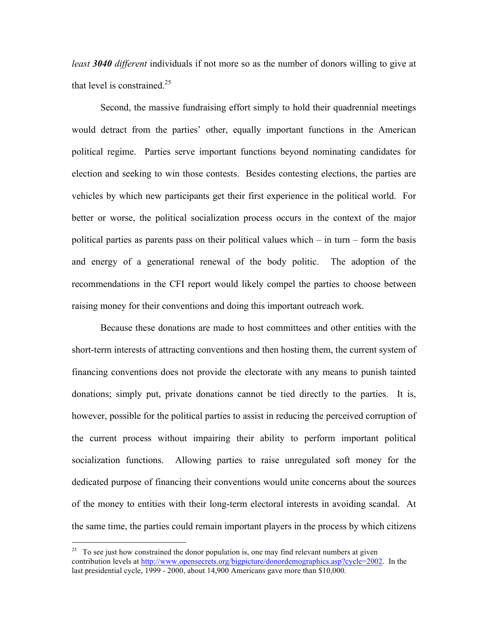*least 3040 different* individuals if not more so as the number of donors willing to give at that level is constrained.<sup>25</sup>

Second, the massive fundraising effort simply to hold their quadrennial meetings would detract from the parties' other, equally important functions in the American political regime. Parties serve important functions beyond nominating candidates for election and seeking to win those contests. Besides contesting elections, the parties are vehicles by which new participants get their first experience in the political world. For better or worse, the political socialization process occurs in the context of the major political parties as parents pass on their political values which – in turn – form the basis and energy of a generational renewal of the body politic. The adoption of the recommendations in the CFI report would likely compel the parties to choose between raising money for their conventions and doing this important outreach work.

Because these donations are made to host committees and other entities with the short-term interests of attracting conventions and then hosting them, the current system of financing conventions does not provide the electorate with any means to punish tainted donations; simply put, private donations cannot be tied directly to the parties. It is, however, possible for the political parties to assist in reducing the perceived corruption of the current process without impairing their ability to perform important political socialization functions. Allowing parties to raise unregulated soft money for the dedicated purpose of financing their conventions would unite concerns about the sources of the money to entities with their long-term electoral interests in avoiding scandal. At the same time, the parties could remain important players in the process by which citizens

 $25$  To see just how constrained the donor population is, one may find relevant numbers at given contribution levels at http://www.opensecrets.org/bigpicture/donordemographics.asp?cycle=2002. In the last presidential cycle, 1999 - 2000, about 14,900 Americans gave more than \$10,000.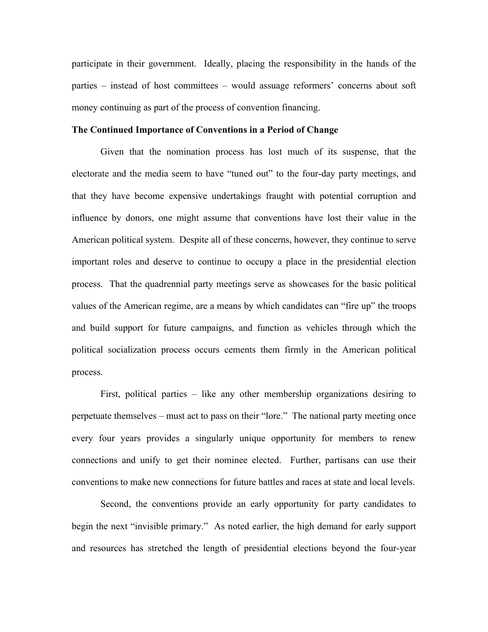participate in their government. Ideally, placing the responsibility in the hands of the parties – instead of host committees – would assuage reformers' concerns about soft money continuing as part of the process of convention financing.

#### **The Continued Importance of Conventions in a Period of Change**

Given that the nomination process has lost much of its suspense, that the electorate and the media seem to have "tuned out" to the four-day party meetings, and that they have become expensive undertakings fraught with potential corruption and influence by donors, one might assume that conventions have lost their value in the American political system. Despite all of these concerns, however, they continue to serve important roles and deserve to continue to occupy a place in the presidential election process. That the quadrennial party meetings serve as showcases for the basic political values of the American regime, are a means by which candidates can "fire up" the troops and build support for future campaigns, and function as vehicles through which the political socialization process occurs cements them firmly in the American political process.

First, political parties – like any other membership organizations desiring to perpetuate themselves – must act to pass on their "lore." The national party meeting once every four years provides a singularly unique opportunity for members to renew connections and unify to get their nominee elected. Further, partisans can use their conventions to make new connections for future battles and races at state and local levels.

Second, the conventions provide an early opportunity for party candidates to begin the next "invisible primary." As noted earlier, the high demand for early support and resources has stretched the length of presidential elections beyond the four-year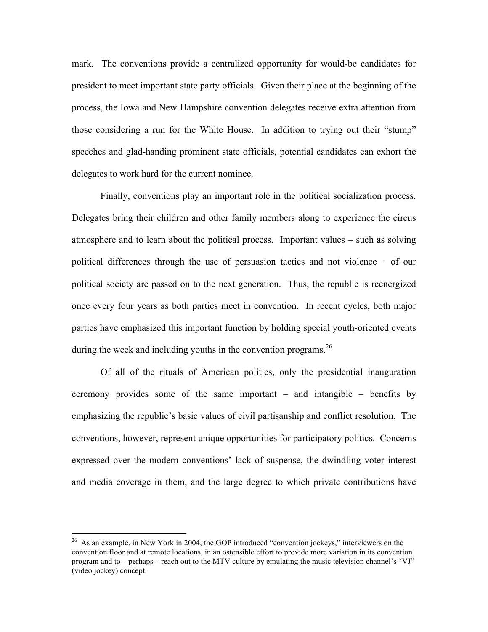mark. The conventions provide a centralized opportunity for would-be candidates for president to meet important state party officials. Given their place at the beginning of the process, the Iowa and New Hampshire convention delegates receive extra attention from those considering a run for the White House. In addition to trying out their "stump" speeches and glad-handing prominent state officials, potential candidates can exhort the delegates to work hard for the current nominee.

Finally, conventions play an important role in the political socialization process. Delegates bring their children and other family members along to experience the circus atmosphere and to learn about the political process. Important values – such as solving political differences through the use of persuasion tactics and not violence – of our political society are passed on to the next generation. Thus, the republic is reenergized once every four years as both parties meet in convention. In recent cycles, both major parties have emphasized this important function by holding special youth-oriented events during the week and including youths in the convention programs.  $2<sup>6</sup>$ 

Of all of the rituals of American politics, only the presidential inauguration ceremony provides some of the same important – and intangible – benefits by emphasizing the republic's basic values of civil partisanship and conflict resolution. The conventions, however, represent unique opportunities for participatory politics. Concerns expressed over the modern conventions' lack of suspense, the dwindling voter interest and media coverage in them, and the large degree to which private contributions have

 $26$  As an example, in New York in 2004, the GOP introduced "convention jockeys," interviewers on the convention floor and at remote locations, in an ostensible effort to provide more variation in its convention program and to – perhaps – reach out to the MTV culture by emulating the music television channel's "VJ" (video jockey) concept.